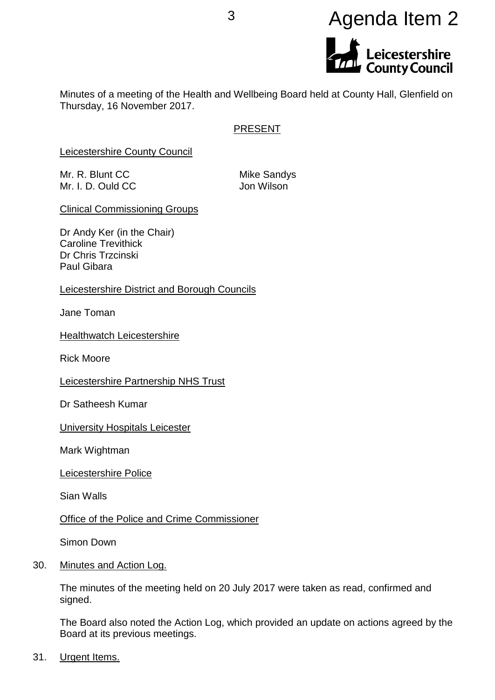# <sup>3</sup> Agenda Item 2Leicestershire<br>County Council

Minutes of a meeting of the Health and Wellbeing Board held at County Hall, Glenfield on Thursday, 16 November 2017.

# PRESENT

Leicestershire County Council

Mr. R. Blunt CC Mike Sandys Mr. I. D. Ould CC Jon Wilson

Clinical Commissioning Groups

Dr Andy Ker (in the Chair) Caroline Trevithick Dr Chris Trzcinski Paul Gibara

Leicestershire District and Borough Councils

Jane Toman

**Healthwatch Leicestershire** 

Rick Moore

Leicestershire Partnership NHS Trust

Dr Satheesh Kumar

University Hospitals Leicester

Mark Wightman

Leicestershire Police

Sian Walls

Office of the Police and Crime Commissioner

Simon Down

30. Minutes and Action Log.

The minutes of the meeting held on 20 July 2017 were taken as read, confirmed and signed.

The Board also noted the Action Log, which provided an update on actions agreed by the Board at its previous meetings.

31. Urgent Items.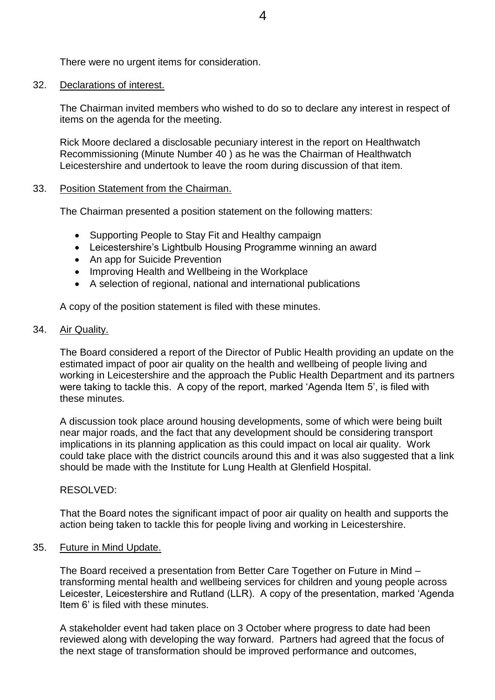There were no urgent items for consideration.

#### 32. Declarations of interest.

The Chairman invited members who wished to do so to declare any interest in respect of items on the agenda for the meeting.

Rick Moore declared a disclosable pecuniary interest in the report on Healthwatch Recommissioning (Minute Number 40 ) as he was the Chairman of Healthwatch Leicestershire and undertook to leave the room during discussion of that item.

#### 33. Position Statement from the Chairman.

The Chairman presented a position statement on the following matters:

- Supporting People to Stay Fit and Healthy campaign
- Leicestershire's Lightbulb Housing Programme winning an award
- An app for Suicide Prevention
- Improving Health and Wellbeing in the Workplace
- A selection of regional, national and international publications

A copy of the position statement is filed with these minutes.

#### 34. Air Quality.

The Board considered a report of the Director of Public Health providing an update on the estimated impact of poor air quality on the health and wellbeing of people living and working in Leicestershire and the approach the Public Health Department and its partners were taking to tackle this. A copy of the report, marked 'Agenda Item 5', is filed with these minutes.

A discussion took place around housing developments, some of which were being built near major roads, and the fact that any development should be considering transport implications in its planning application as this could impact on local air quality. Work could take place with the district councils around this and it was also suggested that a link should be made with the Institute for Lung Health at Glenfield Hospital.

# RESOLVED:

That the Board notes the significant impact of poor air quality on health and supports the action being taken to tackle this for people living and working in Leicestershire.

# 35. Future in Mind Update.

The Board received a presentation from Better Care Together on Future in Mind – transforming mental health and wellbeing services for children and young people across Leicester, Leicestershire and Rutland (LLR). A copy of the presentation, marked 'Agenda Item 6' is filed with these minutes.

A stakeholder event had taken place on 3 October where progress to date had been reviewed along with developing the way forward. Partners had agreed that the focus of the next stage of transformation should be improved performance and outcomes,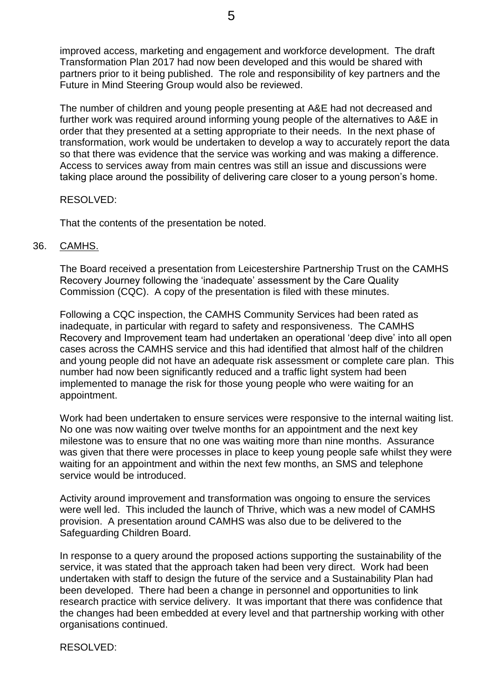improved access, marketing and engagement and workforce development. The draft Transformation Plan 2017 had now been developed and this would be shared with partners prior to it being published. The role and responsibility of key partners and the Future in Mind Steering Group would also be reviewed.

The number of children and young people presenting at A&E had not decreased and further work was required around informing young people of the alternatives to A&E in order that they presented at a setting appropriate to their needs. In the next phase of transformation, work would be undertaken to develop a way to accurately report the data so that there was evidence that the service was working and was making a difference. Access to services away from main centres was still an issue and discussions were taking place around the possibility of delivering care closer to a young person's home.

# RESOLVED:

That the contents of the presentation be noted.

#### 36. CAMHS.

The Board received a presentation from Leicestershire Partnership Trust on the CAMHS Recovery Journey following the 'inadequate' assessment by the Care Quality Commission (CQC). A copy of the presentation is filed with these minutes.

Following a CQC inspection, the CAMHS Community Services had been rated as inadequate, in particular with regard to safety and responsiveness. The CAMHS Recovery and Improvement team had undertaken an operational 'deep dive' into all open cases across the CAMHS service and this had identified that almost half of the children and young people did not have an adequate risk assessment or complete care plan. This number had now been significantly reduced and a traffic light system had been implemented to manage the risk for those young people who were waiting for an appointment.

Work had been undertaken to ensure services were responsive to the internal waiting list. No one was now waiting over twelve months for an appointment and the next key milestone was to ensure that no one was waiting more than nine months. Assurance was given that there were processes in place to keep young people safe whilst they were waiting for an appointment and within the next few months, an SMS and telephone service would be introduced.

Activity around improvement and transformation was ongoing to ensure the services were well led. This included the launch of Thrive, which was a new model of CAMHS provision. A presentation around CAMHS was also due to be delivered to the Safeguarding Children Board.

In response to a query around the proposed actions supporting the sustainability of the service, it was stated that the approach taken had been very direct. Work had been undertaken with staff to design the future of the service and a Sustainability Plan had been developed. There had been a change in personnel and opportunities to link research practice with service delivery. It was important that there was confidence that the changes had been embedded at every level and that partnership working with other organisations continued.

RESOLVED: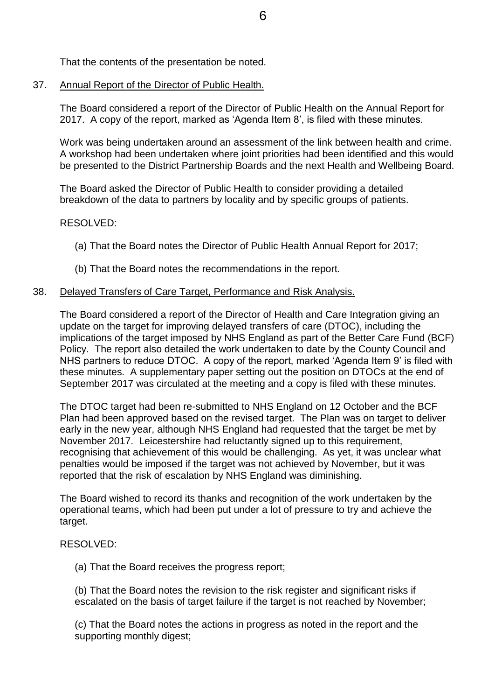That the contents of the presentation be noted.

37. Annual Report of the Director of Public Health.

The Board considered a report of the Director of Public Health on the Annual Report for 2017. A copy of the report, marked as 'Agenda Item 8', is filed with these minutes.

Work was being undertaken around an assessment of the link between health and crime. A workshop had been undertaken where joint priorities had been identified and this would be presented to the District Partnership Boards and the next Health and Wellbeing Board.

The Board asked the Director of Public Health to consider providing a detailed breakdown of the data to partners by locality and by specific groups of patients.

# RESOLVED:

- (a) That the Board notes the Director of Public Health Annual Report for 2017;
- (b) That the Board notes the recommendations in the report.

# 38. Delayed Transfers of Care Target, Performance and Risk Analysis.

The Board considered a report of the Director of Health and Care Integration giving an update on the target for improving delayed transfers of care (DTOC), including the implications of the target imposed by NHS England as part of the Better Care Fund (BCF) Policy. The report also detailed the work undertaken to date by the County Council and NHS partners to reduce DTOC. A copy of the report, marked 'Agenda Item 9' is filed with these minutes. A supplementary paper setting out the position on DTOCs at the end of September 2017 was circulated at the meeting and a copy is filed with these minutes.

The DTOC target had been re-submitted to NHS England on 12 October and the BCF Plan had been approved based on the revised target. The Plan was on target to deliver early in the new year, although NHS England had requested that the target be met by November 2017. Leicestershire had reluctantly signed up to this requirement, recognising that achievement of this would be challenging. As yet, it was unclear what penalties would be imposed if the target was not achieved by November, but it was reported that the risk of escalation by NHS England was diminishing.

The Board wished to record its thanks and recognition of the work undertaken by the operational teams, which had been put under a lot of pressure to try and achieve the target.

# RESOLVED:

(a) That the Board receives the progress report;

(b) That the Board notes the revision to the risk register and significant risks if escalated on the basis of target failure if the target is not reached by November;

(c) That the Board notes the actions in progress as noted in the report and the supporting monthly digest;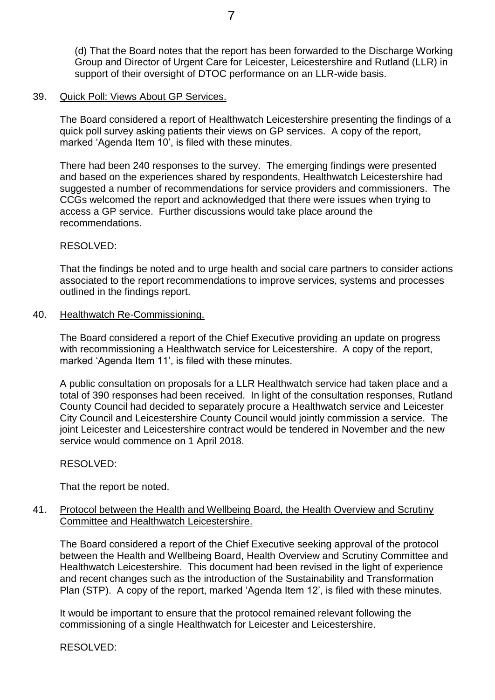(d) That the Board notes that the report has been forwarded to the Discharge Working Group and Director of Urgent Care for Leicester, Leicestershire and Rutland (LLR) in support of their oversight of DTOC performance on an LLR-wide basis.

#### 39. Quick Poll: Views About GP Services.

The Board considered a report of Healthwatch Leicestershire presenting the findings of a quick poll survey asking patients their views on GP services. A copy of the report, marked 'Agenda Item 10', is filed with these minutes.

There had been 240 responses to the survey. The emerging findings were presented and based on the experiences shared by respondents, Healthwatch Leicestershire had suggested a number of recommendations for service providers and commissioners. The CCGs welcomed the report and acknowledged that there were issues when trying to access a GP service. Further discussions would take place around the recommendations.

#### RESOLVED:

That the findings be noted and to urge health and social care partners to consider actions associated to the report recommendations to improve services, systems and processes outlined in the findings report.

#### 40. Healthwatch Re-Commissioning.

The Board considered a report of the Chief Executive providing an update on progress with recommissioning a Healthwatch service for Leicestershire. A copy of the report, marked 'Agenda Item 11', is filed with these minutes.

A public consultation on proposals for a LLR Healthwatch service had taken place and a total of 390 responses had been received. In light of the consultation responses, Rutland County Council had decided to separately procure a Healthwatch service and Leicester City Council and Leicestershire County Council would jointly commission a service. The joint Leicester and Leicestershire contract would be tendered in November and the new service would commence on 1 April 2018.

#### RESOLVED:

That the report be noted.

# 41. Protocol between the Health and Wellbeing Board, the Health Overview and Scrutiny Committee and Healthwatch Leicestershire.

The Board considered a report of the Chief Executive seeking approval of the protocol between the Health and Wellbeing Board, Health Overview and Scrutiny Committee and Healthwatch Leicestershire. This document had been revised in the light of experience and recent changes such as the introduction of the Sustainability and Transformation Plan (STP). A copy of the report, marked 'Agenda Item 12', is filed with these minutes.

It would be important to ensure that the protocol remained relevant following the commissioning of a single Healthwatch for Leicester and Leicestershire.

RESOLVED: